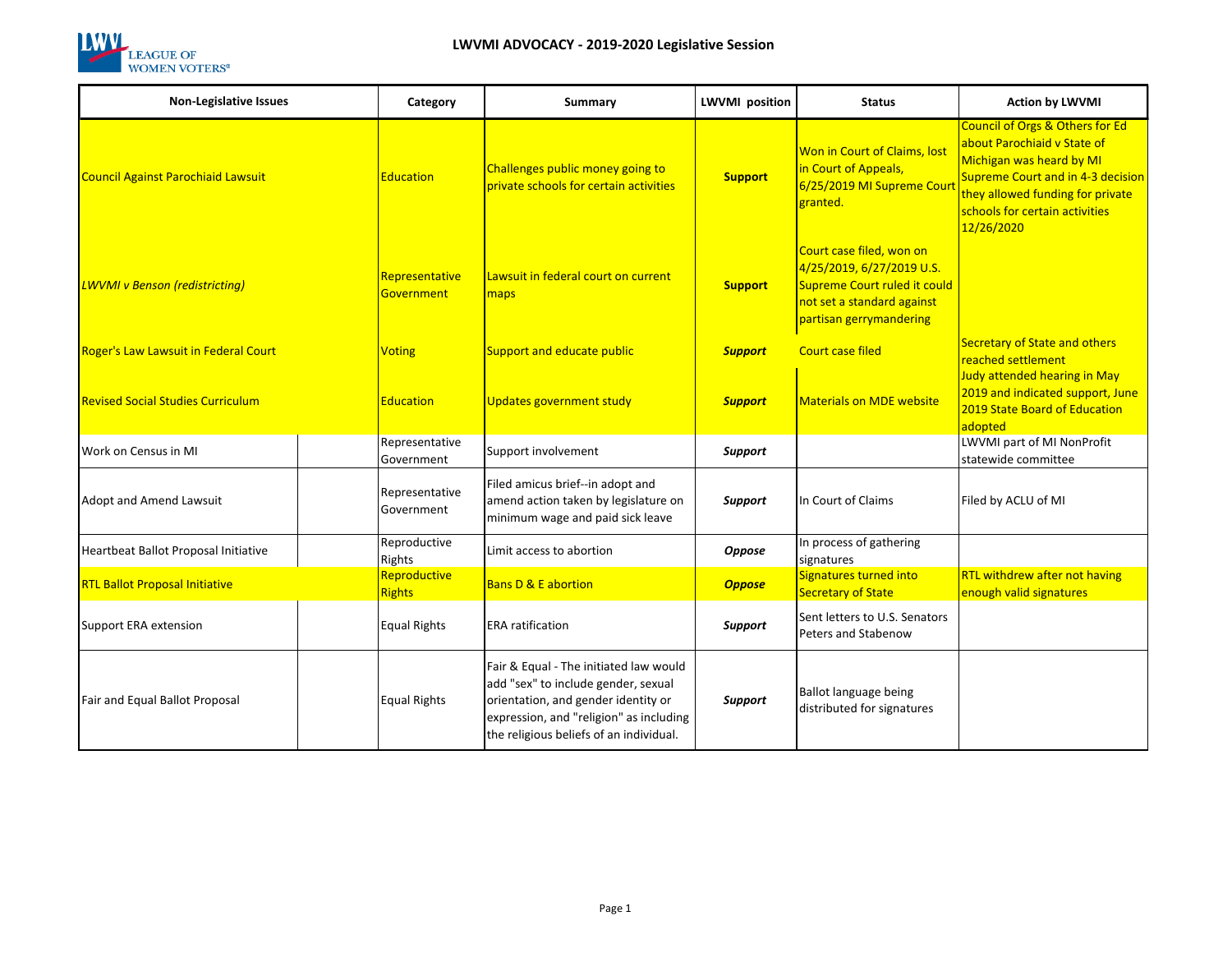

| <b>Non-Legislative Issues</b>               | Category                      | Summary                                                                                                                                                                                                    | <b>LWVMI</b> position | <b>Status</b>                                                                                                                                  | <b>Action by LWVMI</b>                                                                                                                                                                                                         |
|---------------------------------------------|-------------------------------|------------------------------------------------------------------------------------------------------------------------------------------------------------------------------------------------------------|-----------------------|------------------------------------------------------------------------------------------------------------------------------------------------|--------------------------------------------------------------------------------------------------------------------------------------------------------------------------------------------------------------------------------|
| <b>Council Against Parochiaid Lawsuit</b>   | <b>Education</b>              | Challenges public money going to<br>private schools for certain activities                                                                                                                                 | <b>Support</b>        | Won in Court of Claims, lost<br>in Court of Appeals,<br>6/25/2019 MI Supreme Court<br>granted.                                                 | <b>Council of Orgs &amp; Others for Ed</b><br>about Parochiaid v State of<br>Michigan was heard by MI<br>Supreme Court and in 4-3 decision<br>they allowed funding for private<br>schools for certain activities<br>12/26/2020 |
| <b>LWVMI</b> v Benson (redistricting)       | Representative<br>Government  | Lawsuit in federal court on current<br>maps                                                                                                                                                                | <b>Support</b>        | Court case filed, won on<br>4/25/2019, 6/27/2019 U.S.<br>Supreme Court ruled it could<br>not set a standard against<br>partisan gerrymandering |                                                                                                                                                                                                                                |
| <b>Roger's Law Lawsuit in Federal Court</b> | <b>Voting</b>                 | Support and educate public                                                                                                                                                                                 | <b>Support</b>        | <b>Court case filed</b>                                                                                                                        | <b>Secretary of State and others</b><br>reached settlement                                                                                                                                                                     |
| <b>Revised Social Studies Curriculum</b>    | <b>Education</b>              | <b>Updates government study</b>                                                                                                                                                                            | <b>Support</b>        | <b>Materials on MDE website</b>                                                                                                                | Judy attended hearing in May<br>2019 and indicated support, June<br>2019 State Board of Education<br>adopted                                                                                                                   |
| Work on Census in MI                        | Representative<br>Government  | Support involvement                                                                                                                                                                                        | <b>Support</b>        |                                                                                                                                                | LWVMI part of MI NonProfit<br>statewide committee                                                                                                                                                                              |
| <b>Adopt and Amend Lawsuit</b>              | Representative<br>Government  | Filed amicus brief--in adopt and<br>amend action taken by legislature on<br>minimum wage and paid sick leave                                                                                               | Support               | In Court of Claims                                                                                                                             | Filed by ACLU of MI                                                                                                                                                                                                            |
| Heartbeat Ballot Proposal Initiative        | Reproductive<br>Rights        | Limit access to abortion                                                                                                                                                                                   | Oppose                | In process of gathering<br>signatures                                                                                                          |                                                                                                                                                                                                                                |
| <b>RTL Ballot Proposal Initiative</b>       | Reproductive<br><b>Rights</b> | <b>Bans D &amp; E abortion</b>                                                                                                                                                                             | <b>Oppose</b>         | Signatures turned into<br><b>Secretary of State</b>                                                                                            | RTL withdrew after not having<br>enough valid signatures                                                                                                                                                                       |
| Support ERA extension                       | <b>Equal Rights</b>           | <b>ERA</b> ratification                                                                                                                                                                                    | Support               | Sent letters to U.S. Senators<br>Peters and Stabenow                                                                                           |                                                                                                                                                                                                                                |
| Fair and Equal Ballot Proposal              | <b>Equal Rights</b>           | Fair & Equal - The initiated law would<br>add "sex" to include gender, sexual<br>orientation, and gender identity or<br>expression, and "religion" as including<br>the religious beliefs of an individual. | <b>Support</b>        | Ballot language being<br>distributed for signatures                                                                                            |                                                                                                                                                                                                                                |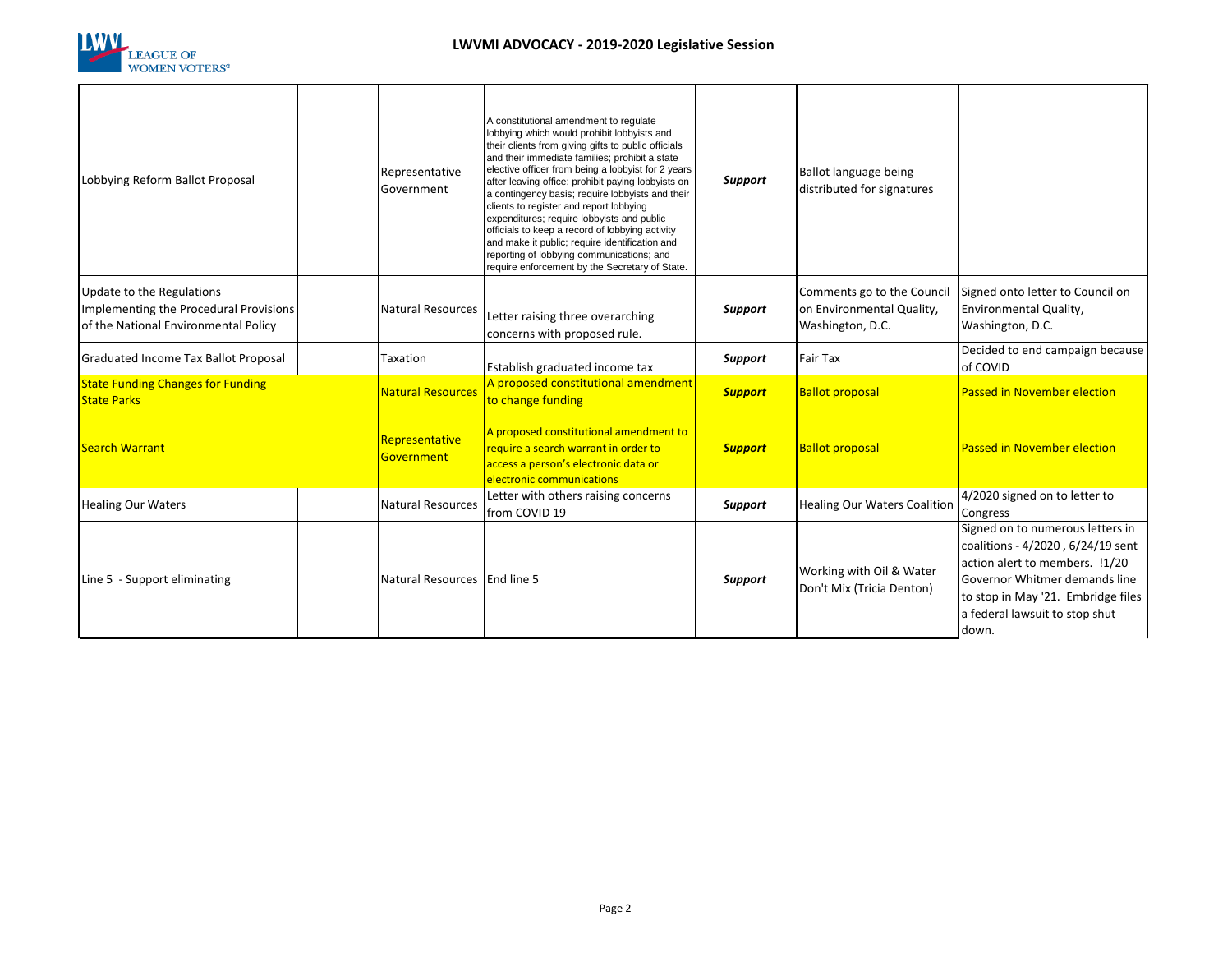

| Lobbying Reform Ballot Proposal                                                                             | Representative<br>Government | A constitutional amendment to regulate<br>lobbying which would prohibit lobbyists and<br>their clients from giving gifts to public officials<br>and their immediate families; prohibit a state<br>elective officer from being a lobbyist for 2 years<br>after leaving office; prohibit paying lobbyists on<br>a contingency basis; require lobbyists and their<br>clients to register and report lobbying<br>expenditures; require lobbyists and public<br>officials to keep a record of lobbying activity<br>and make it public; require identification and<br>reporting of lobbying communications; and<br>require enforcement by the Secretary of State. | <b>Support</b> | Ballot language being<br>distributed for signatures                         |                                                                                                                                                                                                                           |
|-------------------------------------------------------------------------------------------------------------|------------------------------|-------------------------------------------------------------------------------------------------------------------------------------------------------------------------------------------------------------------------------------------------------------------------------------------------------------------------------------------------------------------------------------------------------------------------------------------------------------------------------------------------------------------------------------------------------------------------------------------------------------------------------------------------------------|----------------|-----------------------------------------------------------------------------|---------------------------------------------------------------------------------------------------------------------------------------------------------------------------------------------------------------------------|
| Update to the Regulations<br>Implementing the Procedural Provisions<br>of the National Environmental Policy | <b>Natural Resources</b>     | Letter raising three overarching<br>concerns with proposed rule.                                                                                                                                                                                                                                                                                                                                                                                                                                                                                                                                                                                            | Support        | Comments go to the Council<br>on Environmental Quality,<br>Washington, D.C. | Signed onto letter to Council on<br>Environmental Quality,<br>Washington, D.C.                                                                                                                                            |
| Graduated Income Tax Ballot Proposal                                                                        | Taxation                     | Establish graduated income tax                                                                                                                                                                                                                                                                                                                                                                                                                                                                                                                                                                                                                              | Support        | <b>Fair Tax</b>                                                             | Decided to end campaign because<br>of COVID                                                                                                                                                                               |
| <b>State Funding Changes for Funding</b><br><b>State Parks</b>                                              | <b>Natural Resources</b>     | A proposed constitutional amendment<br>to change funding                                                                                                                                                                                                                                                                                                                                                                                                                                                                                                                                                                                                    | <b>Support</b> | <b>Ballot proposal</b>                                                      | <b>Passed in November election</b>                                                                                                                                                                                        |
| <b>Search Warrant</b>                                                                                       | Representative<br>Government | A proposed constitutional amendment to<br>require a search warrant in order to<br>access a person's electronic data or<br>electronic communications                                                                                                                                                                                                                                                                                                                                                                                                                                                                                                         | <b>Support</b> | <b>Ballot proposal</b>                                                      | <b>Passed in November election</b>                                                                                                                                                                                        |
| <b>Healing Our Waters</b>                                                                                   | <b>Natural Resources</b>     | Letter with others raising concerns<br>from COVID 19                                                                                                                                                                                                                                                                                                                                                                                                                                                                                                                                                                                                        | Support        | <b>Healing Our Waters Coalition</b>                                         | 4/2020 signed on to letter to<br>Congress                                                                                                                                                                                 |
| Line 5 - Support eliminating                                                                                | Natural Resources End line 5 |                                                                                                                                                                                                                                                                                                                                                                                                                                                                                                                                                                                                                                                             | <b>Support</b> | Working with Oil & Water<br>Don't Mix (Tricia Denton)                       | Signed on to numerous letters in<br>coalitions - 4/2020, 6/24/19 sent<br>action alert to members. !1/20<br>Governor Whitmer demands line<br>to stop in May '21. Embridge files<br>a federal lawsuit to stop shut<br>down. |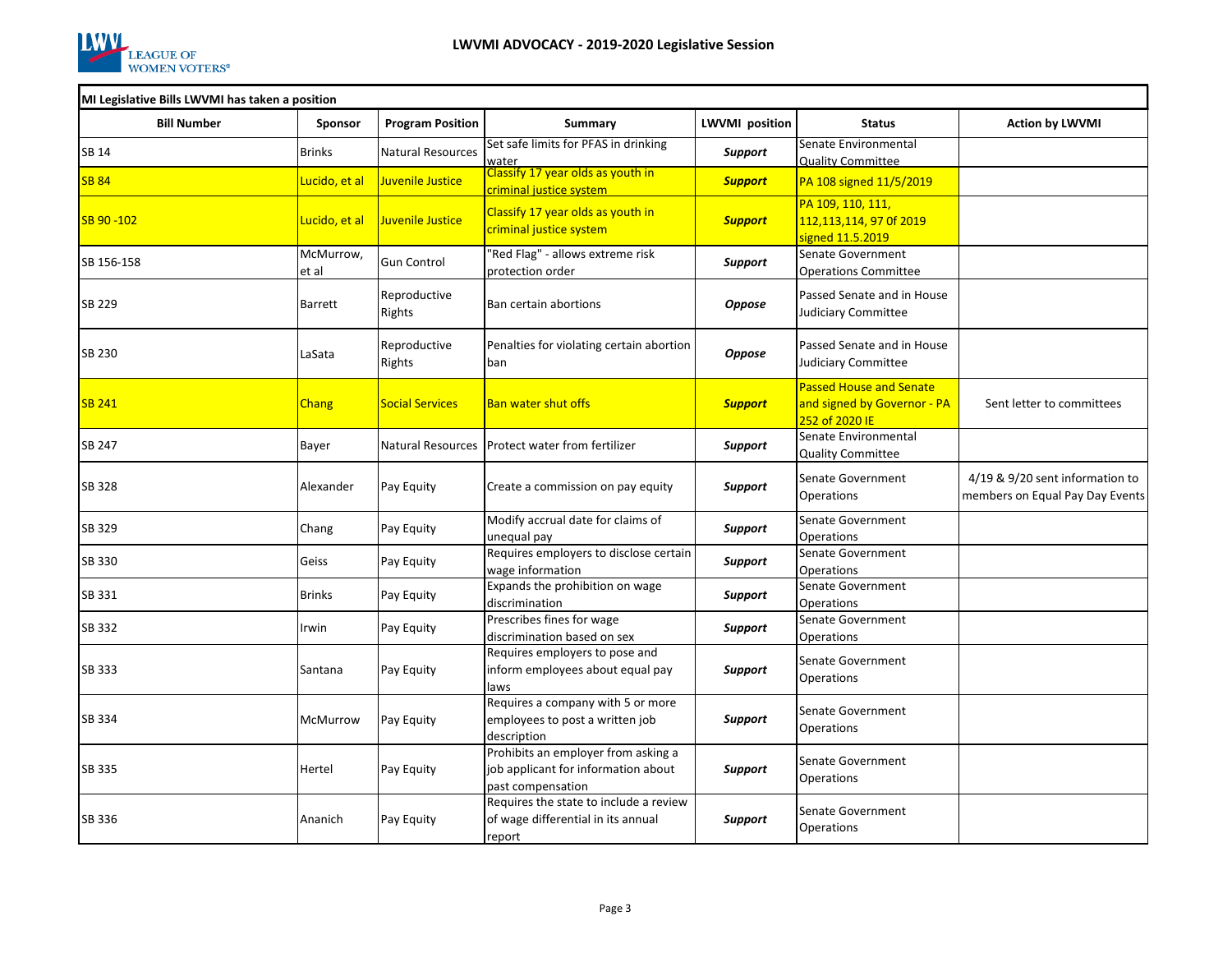

٦

| MI Legislative Bills LWVMI has taken a position |  |  |
|-------------------------------------------------|--|--|
|                                                 |  |  |
|                                                 |  |  |

| MI Legislative Bills LWVMI has taken a position |                    |                         |                                                                                                 |                       |                                                                                 |                                                                    |  |  |
|-------------------------------------------------|--------------------|-------------------------|-------------------------------------------------------------------------------------------------|-----------------------|---------------------------------------------------------------------------------|--------------------------------------------------------------------|--|--|
| <b>Bill Number</b>                              | <b>Sponsor</b>     | <b>Program Position</b> | Summary                                                                                         | <b>LWVMI</b> position | <b>Status</b>                                                                   | <b>Action by LWVMI</b>                                             |  |  |
| <b>SB 14</b>                                    | <b>Brinks</b>      | Natural Resources       | Set safe limits for PFAS in drinking<br>water                                                   | Support               | Senate Environmental<br><b>Quality Committee</b>                                |                                                                    |  |  |
| <b>SB 84</b>                                    | Lucido, et al      | Juvenile Justice        | Classify 17 year olds as youth in<br>criminal justice system                                    | <b>Support</b>        | PA 108 signed 11/5/2019                                                         |                                                                    |  |  |
| SB 90-102                                       | Lucido, et al      | Juvenile Justice        | Classify 17 year olds as youth in<br>criminal justice system                                    | <b>Support</b>        | PA 109, 110, 111,<br>112,113,114, 97 0f 2019<br>signed 11.5.2019                |                                                                    |  |  |
| SB 156-158                                      | McMurrow,<br>et al | Gun Control             | 'Red Flag" - allows extreme risk<br>protection order                                            | Support               | Senate Government<br><b>Operations Committee</b>                                |                                                                    |  |  |
| <b>SB 229</b>                                   | <b>Barrett</b>     | Reproductive<br>Rights  | Ban certain abortions                                                                           | <b>Oppose</b>         | Passed Senate and in House<br>Judiciary Committee                               |                                                                    |  |  |
| SB 230                                          | LaSata             | Reproductive<br>Rights  | Penalties for violating certain abortion<br>ban                                                 | <b>Oppose</b>         | Passed Senate and in House<br>Judiciary Committee                               |                                                                    |  |  |
| <b>SB 241</b>                                   | <b>Chang</b>       | <b>Social Services</b>  | <b>Ban water shut offs</b>                                                                      | <b>Support</b>        | <b>Passed House and Senate</b><br>and signed by Governor - PA<br>252 of 2020 IE | Sent letter to committees                                          |  |  |
| SB 247                                          | Bayer              | Natural Resources       | Protect water from fertilizer                                                                   | Support               | Senate Environmental<br><b>Quality Committee</b>                                |                                                                    |  |  |
| SB 328                                          | Alexander          | Pay Equity              | Create a commission on pay equity                                                               | Support               | Senate Government<br>Operations                                                 | 4/19 & 9/20 sent information to<br>members on Equal Pay Day Events |  |  |
| SB 329                                          | Chang              | Pay Equity              | Modify accrual date for claims of<br>unequal pay                                                | Support               | Senate Government<br>Operations                                                 |                                                                    |  |  |
| SB 330                                          | Geiss              | Pay Equity              | Requires employers to disclose certain<br>wage information                                      | Support               | Senate Government<br>Operations                                                 |                                                                    |  |  |
| SB 331                                          | <b>Brinks</b>      | Pay Equity              | Expands the prohibition on wage<br>discrimination                                               | Support               | Senate Government<br>Operations                                                 |                                                                    |  |  |
| SB 332                                          | Irwin              | Pay Equity              | Prescribes fines for wage<br>discrimination based on sex                                        | Support               | Senate Government<br>Operations                                                 |                                                                    |  |  |
| <b>SB 333</b>                                   | Santana            | Pay Equity              | Requires employers to pose and<br>inform employees about equal pay<br>laws                      | Support               | Senate Government<br>Operations                                                 |                                                                    |  |  |
| SB 334                                          | McMurrow           | Pay Equity              | Requires a company with 5 or more<br>employees to post a written job<br>description             | Support               | Senate Government<br>Operations                                                 |                                                                    |  |  |
| <b>SB 335</b>                                   | Hertel             | Pay Equity              | Prohibits an employer from asking a<br>job applicant for information about<br>past compensation | Support               | Senate Government<br>Operations                                                 |                                                                    |  |  |
| SB 336                                          | Ananich            | Pay Equity              | Requires the state to include a review<br>of wage differential in its annual<br>report          | Support               | Senate Government<br>Operations                                                 |                                                                    |  |  |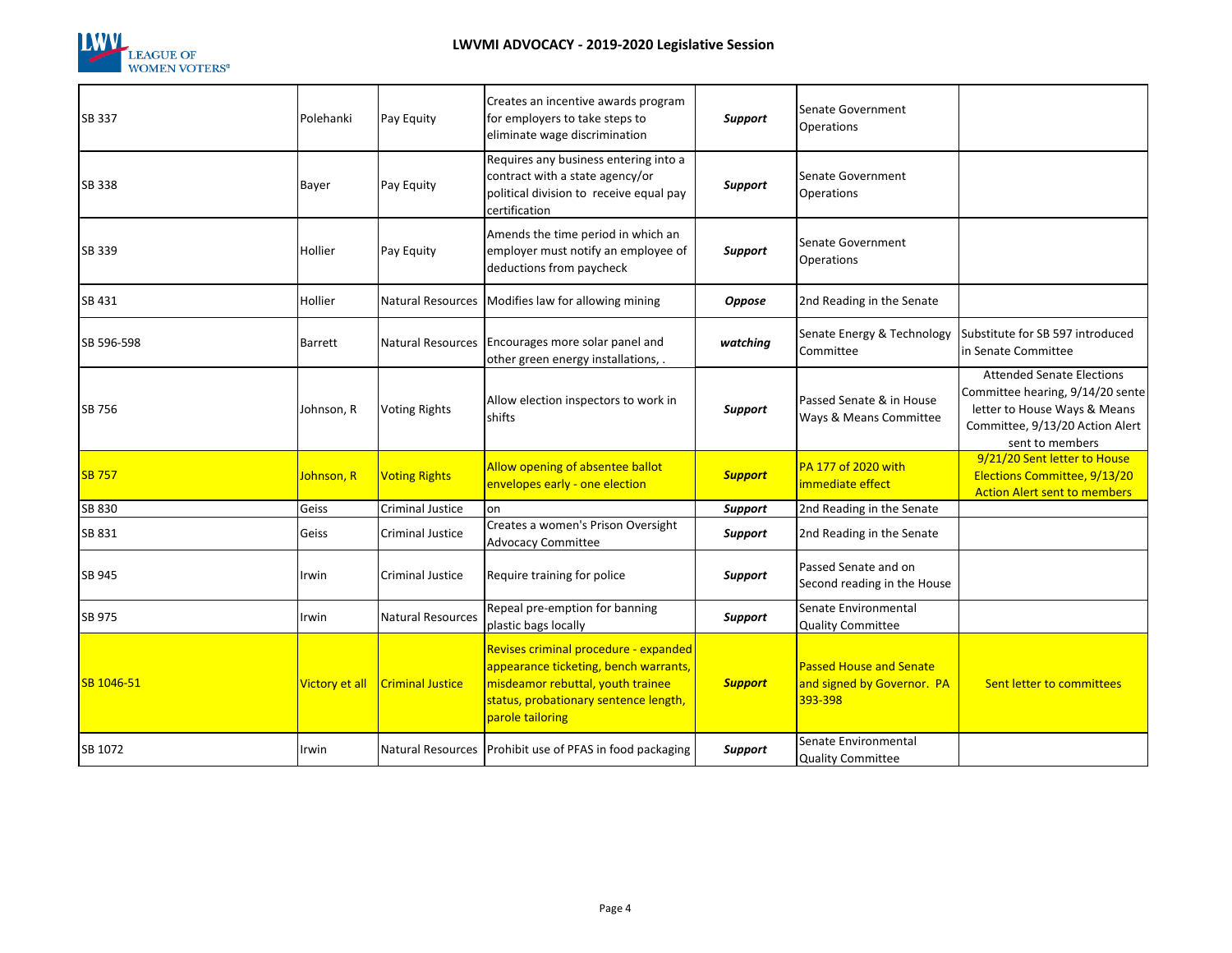

| SB 337        | Polehanki      | Pay Equity               | Creates an incentive awards program<br>for employers to take steps to<br>eliminate wage discrimination                                                                           | Support        | Senate Government<br><b>Operations</b>                                  |                                                                                                                                                            |
|---------------|----------------|--------------------------|----------------------------------------------------------------------------------------------------------------------------------------------------------------------------------|----------------|-------------------------------------------------------------------------|------------------------------------------------------------------------------------------------------------------------------------------------------------|
| SB 338        | Bayer          | Pay Equity               | Requires any business entering into a<br>contract with a state agency/or<br>political division to receive equal pay<br>certification                                             | Support        | Senate Government<br><b>Operations</b>                                  |                                                                                                                                                            |
| SB 339        | Hollier        | Pay Equity               | Amends the time period in which an<br>employer must notify an employee of<br>deductions from paycheck                                                                            | Support        | Senate Government<br>Operations                                         |                                                                                                                                                            |
| SB 431        | Hollier        | <b>Natural Resources</b> | Modifies law for allowing mining                                                                                                                                                 | <b>Oppose</b>  | 2nd Reading in the Senate                                               |                                                                                                                                                            |
| SB 596-598    | Barrett        | <b>Natural Resources</b> | Encourages more solar panel and<br>other green energy installations, .                                                                                                           | watching       | Senate Energy & Technology<br>Committee                                 | Substitute for SB 597 introduced<br>in Senate Committee                                                                                                    |
| SB 756        | Johnson, R     | <b>Voting Rights</b>     | Allow election inspectors to work in<br>shifts                                                                                                                                   | Support        | Passed Senate & in House<br>Ways & Means Committee                      | <b>Attended Senate Elections</b><br>Committee hearing, 9/14/20 sente<br>letter to House Ways & Means<br>Committee, 9/13/20 Action Alert<br>sent to members |
| <b>SB 757</b> | Johnson, R     | <b>Voting Rights</b>     | Allow opening of absentee ballot<br>envelopes early - one election                                                                                                               | <b>Support</b> | PA 177 of 2020 with<br>immediate effect                                 | 9/21/20 Sent letter to House<br>Elections Committee, 9/13/20<br><b>Action Alert sent to members</b>                                                        |
| SB 830        | Geiss          | <b>Criminal Justice</b>  | on                                                                                                                                                                               | <b>Support</b> | 2nd Reading in the Senate                                               |                                                                                                                                                            |
| SB 831        | Geiss          | Criminal Justice         | Creates a women's Prison Oversight<br><b>Advocacy Committee</b>                                                                                                                  | Support        | 2nd Reading in the Senate                                               |                                                                                                                                                            |
| SB 945        | Irwin          | <b>Criminal Justice</b>  | Require training for police                                                                                                                                                      | Support        | Passed Senate and on<br>Second reading in the House                     |                                                                                                                                                            |
| SB 975        | Irwin          | <b>Natural Resources</b> | Repeal pre-emption for banning<br>plastic bags locally                                                                                                                           | Support        | Senate Environmental<br><b>Quality Committee</b>                        |                                                                                                                                                            |
| SB 1046-51    | Victory et all | <b>Criminal Justice</b>  | Revises criminal procedure - expanded<br>appearance ticketing, bench warrants,<br>misdeamor rebuttal, youth trainee<br>status, probationary sentence length,<br>parole tailoring | <b>Support</b> | <b>Passed House and Senate</b><br>and signed by Governor. PA<br>393-398 | Sent letter to committees                                                                                                                                  |
| SB 1072       | Irwin          |                          | Natural Resources   Prohibit use of PFAS in food packaging                                                                                                                       | Support        | Senate Environmental<br><b>Quality Committee</b>                        |                                                                                                                                                            |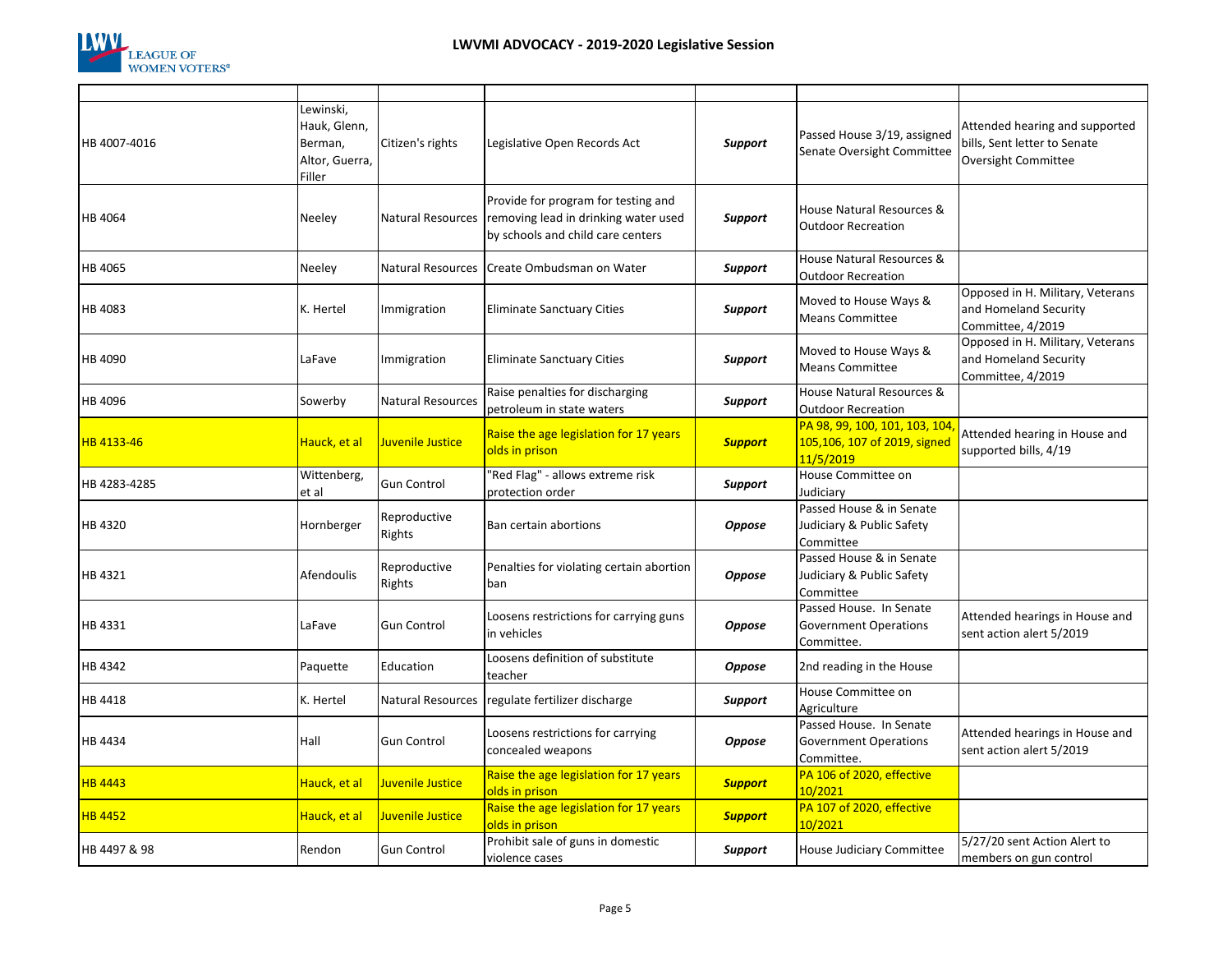

| HB 4007-4016   | Lewinski,<br>Hauk, Glenn,<br>Berman,<br>Altor, Guerra,<br>Filler | Citizen's rights         | Legislative Open Records Act                                                                                     | <b>Support</b> | Passed House 3/19, assigned<br>Senate Oversight Committee                  | Attended hearing and supported<br>bills, Sent letter to Senate<br><b>Oversight Committee</b> |
|----------------|------------------------------------------------------------------|--------------------------|------------------------------------------------------------------------------------------------------------------|----------------|----------------------------------------------------------------------------|----------------------------------------------------------------------------------------------|
| HB 4064        | Neeley                                                           | <b>Natural Resources</b> | Provide for program for testing and<br>removing lead in drinking water used<br>by schools and child care centers | <b>Support</b> | House Natural Resources &<br><b>Outdoor Recreation</b>                     |                                                                                              |
| HB 4065        | Neeley                                                           | <b>Natural Resources</b> | Create Ombudsman on Water                                                                                        | <b>Support</b> | House Natural Resources &<br><b>Outdoor Recreation</b>                     |                                                                                              |
| HB 4083        | K. Hertel                                                        | Immigration              | <b>Eliminate Sanctuary Cities</b>                                                                                | Support        | Moved to House Ways &<br><b>Means Committee</b>                            | Opposed in H. Military, Veterans<br>and Homeland Security<br>Committee, 4/2019               |
| HB 4090        | LaFave                                                           | Immigration              | <b>Eliminate Sanctuary Cities</b>                                                                                | Support        | Moved to House Ways &<br><b>Means Committee</b>                            | Opposed in H. Military, Veterans<br>and Homeland Security<br>Committee, 4/2019               |
| HB 4096        | Sowerby                                                          | <b>Natural Resources</b> | Raise penalties for discharging<br>petroleum in state waters                                                     | Support        | House Natural Resources &<br><b>Outdoor Recreation</b>                     |                                                                                              |
| HB 4133-46     | Hauck, et al                                                     | Juvenile Justice         | Raise the age legislation for 17 years<br>olds in prison                                                         | <b>Support</b> | PA 98, 99, 100, 101, 103, 104<br>105,106, 107 of 2019, signed<br>11/5/2019 | Attended hearing in House and<br>supported bills, 4/19                                       |
| HB 4283-4285   | Wittenberg,<br>et al                                             | <b>Gun Control</b>       | 'Red Flag" - allows extreme risk<br>protection order                                                             | Support        | House Committee on<br>Judiciary                                            |                                                                                              |
| HB 4320        | Hornberger                                                       | Reproductive<br>Rights   | Ban certain abortions                                                                                            | <b>Oppose</b>  | Passed House & in Senate<br>Judiciary & Public Safety<br>Committee         |                                                                                              |
| HB 4321        | Afendoulis                                                       | Reproductive<br>Rights   | Penalties for violating certain abortion<br>ban                                                                  | <b>Oppose</b>  | Passed House & in Senate<br>Judiciary & Public Safety<br>Committee         |                                                                                              |
| HB 4331        | LaFave                                                           | <b>Gun Control</b>       | Loosens restrictions for carrying guns<br>in vehicles                                                            | <b>Oppose</b>  | Passed House. In Senate<br><b>Government Operations</b><br>Committee.      | Attended hearings in House and<br>sent action alert 5/2019                                   |
| HB 4342        | Paquette                                                         | Education                | Loosens definition of substitute<br>teacher                                                                      | <b>Oppose</b>  | 2nd reading in the House                                                   |                                                                                              |
| HB 4418        | K. Hertel                                                        | Natural Resources        | regulate fertilizer discharge                                                                                    | <b>Support</b> | House Committee on<br>Agriculture                                          |                                                                                              |
| HB 4434        | Hall                                                             | <b>Gun Control</b>       | Loosens restrictions for carrying<br>concealed weapons                                                           | <b>Oppose</b>  | Passed House. In Senate<br><b>Government Operations</b><br>Committee.      | Attended hearings in House and<br>sent action alert 5/2019                                   |
| <b>HB 4443</b> | Hauck, et al                                                     | Juvenile Justice         | Raise the age legislation for 17 years<br>olds in prison                                                         | <b>Support</b> | PA 106 of 2020, effective<br>10/2021                                       |                                                                                              |
| <b>HB 4452</b> | Hauck, et al                                                     | Juvenile Justice         | Raise the age legislation for 17 years<br>olds in prison                                                         | <b>Support</b> | PA 107 of 2020, effective<br>10/2021                                       |                                                                                              |
| HB 4497 & 98   | Rendon                                                           | <b>Gun Control</b>       | Prohibit sale of guns in domestic<br>violence cases                                                              | <b>Support</b> | House Judiciary Committee                                                  | 5/27/20 sent Action Alert to<br>members on gun control                                       |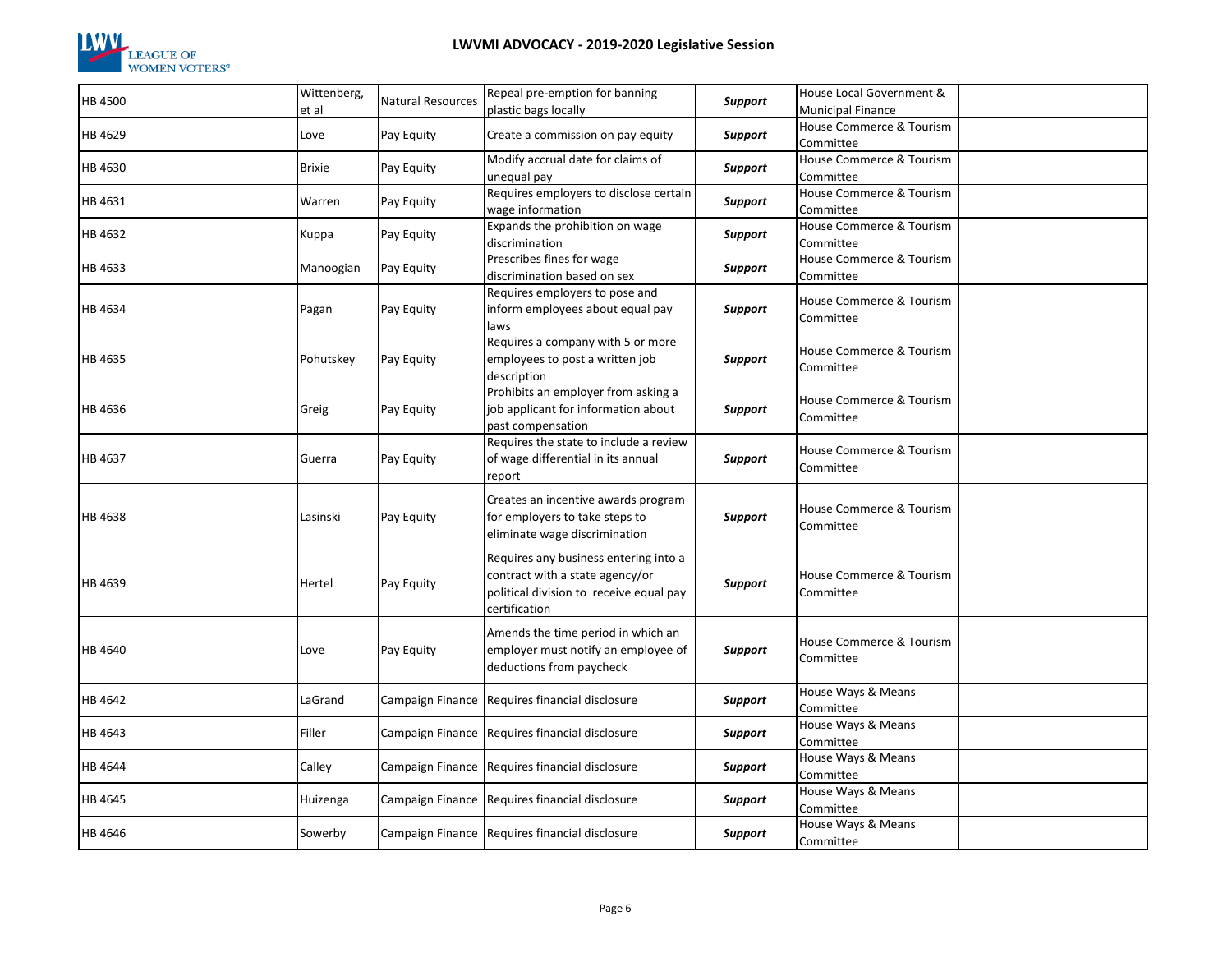

| HB 4500 | Wittenberg,<br>et al | <b>Natural Resources</b> | Repeal pre-emption for banning<br>plastic bags locally                                                                               | Support        | House Local Government &<br><b>Municipal Finance</b> |  |
|---------|----------------------|--------------------------|--------------------------------------------------------------------------------------------------------------------------------------|----------------|------------------------------------------------------|--|
| HB 4629 | Love                 | Pay Equity               | Create a commission on pay equity                                                                                                    | Support        | House Commerce & Tourism<br>Committee                |  |
| HB 4630 | <b>Brixie</b>        | Pay Equity               | Modify accrual date for claims of<br>unequal pay                                                                                     | Support        | House Commerce & Tourism<br>Committee                |  |
| HB 4631 | Warren               | Pay Equity               | Requires employers to disclose certain<br>wage information                                                                           | Support        | House Commerce & Tourism<br>Committee                |  |
| HB 4632 | Kuppa                | Pay Equity               | Expands the prohibition on wage<br>discrimination                                                                                    | Support        | House Commerce & Tourism<br>Committee                |  |
| HB 4633 | Manoogian            | Pay Equity               | Prescribes fines for wage<br>discrimination based on sex                                                                             | Support        | House Commerce & Tourism<br>Committee                |  |
| HB 4634 | Pagan                | Pay Equity               | Requires employers to pose and<br>inform employees about equal pay<br>laws                                                           | Support        | House Commerce & Tourism<br>Committee                |  |
| HB 4635 | Pohutskey            | Pay Equity               | Requires a company with 5 or more<br>employees to post a written job<br>description                                                  | Support        | House Commerce & Tourism<br>Committee                |  |
| HB 4636 | Greig                | Pay Equity               | Prohibits an employer from asking a<br>job applicant for information about<br>past compensation                                      | Support        | House Commerce & Tourism<br>Committee                |  |
| HB 4637 | Guerra               | Pay Equity               | Requires the state to include a review<br>of wage differential in its annual<br>report                                               | Support        | House Commerce & Tourism<br>Committee                |  |
| HB 4638 | Lasinski             | Pay Equity               | Creates an incentive awards program<br>for employers to take steps to<br>eliminate wage discrimination                               | Support        | House Commerce & Tourism<br>Committee                |  |
| HB 4639 | Hertel               | Pay Equity               | Requires any business entering into a<br>contract with a state agency/or<br>political division to receive equal pay<br>certification | Support        | House Commerce & Tourism<br>Committee                |  |
| HB 4640 | Love                 | Pay Equity               | Amends the time period in which an<br>employer must notify an employee of<br>deductions from paycheck                                | Support        | House Commerce & Tourism<br>Committee                |  |
| HB 4642 | LaGrand              |                          | Campaign Finance Requires financial disclosure                                                                                       | <b>Support</b> | House Ways & Means<br>Committee                      |  |
| HB 4643 | Filler               |                          | Campaign Finance Requires financial disclosure                                                                                       | <b>Support</b> | House Ways & Means<br>Committee                      |  |
| HB 4644 | Calley               |                          | Campaign Finance Requires financial disclosure                                                                                       | Support        | House Ways & Means<br>Committee                      |  |
| HB 4645 | Huizenga             |                          | Campaign Finance Requires financial disclosure                                                                                       | Support        | House Ways & Means<br>Committee                      |  |
| HB 4646 | Sowerby              |                          | Campaign Finance Requires financial disclosure                                                                                       | <b>Support</b> | House Ways & Means<br>Committee                      |  |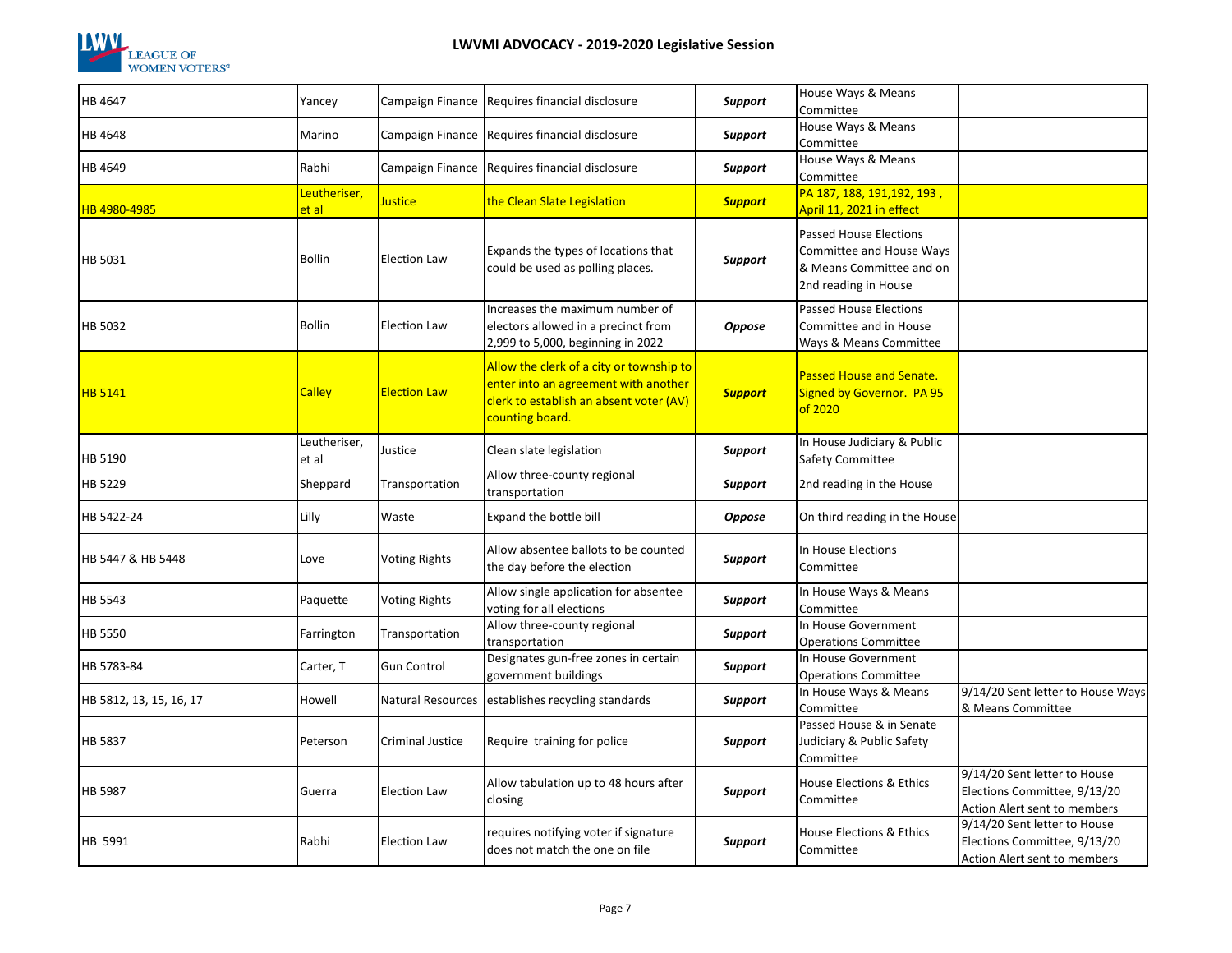

| HB 4647                 | Yancey                             |                      | Campaign Finance Requires financial disclosure                                                                                                 | Support        | House Ways & Means<br>Committee                                                                               |                                                                                              |
|-------------------------|------------------------------------|----------------------|------------------------------------------------------------------------------------------------------------------------------------------------|----------------|---------------------------------------------------------------------------------------------------------------|----------------------------------------------------------------------------------------------|
| HB 4648                 | Marino                             |                      | Campaign Finance Requires financial disclosure                                                                                                 | Support        | House Ways & Means<br>Committee                                                                               |                                                                                              |
| HB 4649                 | Rabhi                              |                      | Campaign Finance Requires financial disclosure                                                                                                 | Support        | House Ways & Means<br>Committee                                                                               |                                                                                              |
| HB 4980-4985            | Leutheriser,<br><mark>et al</mark> | Justice              | the Clean Slate Legislation                                                                                                                    | <b>Support</b> | PA 187, 188, 191, 192, 193,<br>April 11, 2021 in effect                                                       |                                                                                              |
| HB 5031                 | <b>Bollin</b>                      | <b>Election Law</b>  | Expands the types of locations that<br>could be used as polling places.                                                                        | Support        | <b>Passed House Elections</b><br>Committee and House Ways<br>& Means Committee and on<br>2nd reading in House |                                                                                              |
| HB 5032                 | <b>Bollin</b>                      | <b>Election Law</b>  | Increases the maximum number of<br>electors allowed in a precinct from<br>2,999 to 5,000, beginning in 2022                                    | <b>Oppose</b>  | <b>Passed House Elections</b><br>Committee and in House<br>Ways & Means Committee                             |                                                                                              |
| <b>HB 5141</b>          | <b>Calley</b>                      | <b>Election Law</b>  | Allow the clerk of a city or township to<br>enter into an agreement with another<br>clerk to establish an absent voter (AV)<br>counting board. | <b>Support</b> | Passed House and Senate.<br>Signed by Governor. PA 95<br>of 2020                                              |                                                                                              |
| HB 5190                 | Leutheriser,<br>et al              | Justice              | Clean slate legislation                                                                                                                        | Support        | In House Judiciary & Public<br>Safety Committee                                                               |                                                                                              |
| HB 5229                 | Sheppard                           | Transportation       | Allow three-county regional<br>transportation                                                                                                  | Support        | 2nd reading in the House                                                                                      |                                                                                              |
| HB 5422-24              | Lilly                              | Waste                | Expand the bottle bill                                                                                                                         | Oppose         | On third reading in the House                                                                                 |                                                                                              |
| HB 5447 & HB 5448       | Love                               | <b>Voting Rights</b> | Allow absentee ballots to be counted<br>the day before the election                                                                            | Support        | In House Elections<br>Committee                                                                               |                                                                                              |
| HB 5543                 | Paquette                           | <b>Voting Rights</b> | Allow single application for absentee<br>voting for all elections                                                                              | Support        | In House Ways & Means<br>Committee                                                                            |                                                                                              |
| <b>HB 5550</b>          | Farrington                         | Transportation       | Allow three-county regional<br>transportation                                                                                                  | Support        | In House Government<br><b>Operations Committee</b>                                                            |                                                                                              |
| HB 5783-84              | Carter, T                          | <b>Gun Control</b>   | Designates gun-free zones in certain<br>government buildings                                                                                   | Support        | In House Government<br><b>Operations Committee</b>                                                            |                                                                                              |
| HB 5812, 13, 15, 16, 17 | Howell                             | Natural Resources    | establishes recycling standards                                                                                                                | Support        | In House Ways & Means<br>Committee                                                                            | 9/14/20 Sent letter to House Ways<br>& Means Committee                                       |
| HB 5837                 | Peterson                           | Criminal Justice     | Require training for police                                                                                                                    | Support        | Passed House & in Senate<br>Judiciary & Public Safety<br>Committee                                            |                                                                                              |
| <b>HB 5987</b>          | Guerra                             | <b>Election Law</b>  | Allow tabulation up to 48 hours after<br>closing                                                                                               | Support        | House Elections & Ethics<br>Committee                                                                         | 9/14/20 Sent letter to House<br>Elections Committee, 9/13/20<br>Action Alert sent to members |
| HB 5991                 | Rabhi                              | <b>Election Law</b>  | requires notifying voter if signature<br>does not match the one on file                                                                        | Support        | House Elections & Ethics<br>Committee                                                                         | 9/14/20 Sent letter to House<br>Elections Committee, 9/13/20<br>Action Alert sent to members |